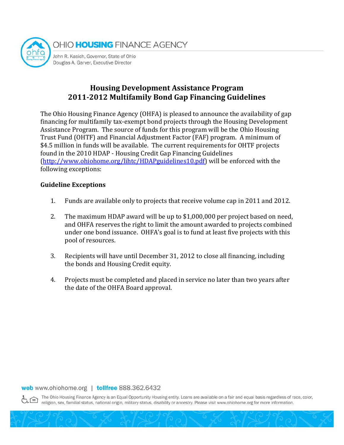

# **Housing Development Assistance Program 2011-2012 Multifamily Bond Gap Financing Guidelines**

The Ohio Housing Finance Agency (OHFA) is pleased to announce the availability of gap financing for multifamily tax-exempt bond projects through the Housing Development Assistance Program. The source of funds for this program will be the Ohio Housing Trust Fund (OHTF) and Financial Adjustment Factor (FAF) program. A minimum of \$4.5 million in funds will be available. The current requirements for OHTF projects found in the 2010 HDAP - Housing Credit Gap Financing Guidelines [\(http://www.ohiohome.org/lihtc/HDAPguidelines10.pdf\)](http://www.ohiohome.org/lihtc/HDAPguidelines10.pdf) will be enforced with the following exceptions:

### **Guideline Exceptions**

- 1. Funds are available only to projects that receive volume cap in 2011 and 2012.
- 2. The maximum HDAP award will be up to \$1,000,000 per project based on need, and OHFA reserves the right to limit the amount awarded to projects combined under one bond issuance. OHFA's goal is to fund at least five projects with this pool of resources.
- 3. Recipients will have until December 31, 2012 to close all financing, including the bonds and Housing Credit equity.
- 4. Projects must be completed and placed in service no later than two years after the date of the OHFA Board approval.

#### web www.ohiohome.org | tollfree 888.362.6432

The Ohio Housing Finance Agency is an Equal Opportunity Housing entity. Loans are available on a fair and equal basis regardless of race, color, religion, sex, familial status, national origin, military status, disability or ancestry. Please visit www.ohiohome.org for more information.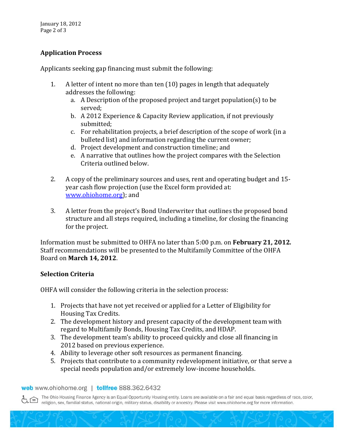## **Application Process**

Applicants seeking gap financing must submit the following:

- 1. A letter of intent no more than ten (10) pages in length that adequately addresses the following:
	- a. A Description of the proposed project and target population(s) to be served;
	- b. A 2012 Experience & Capacity Review application, if not previously submitted;
	- c. For rehabilitation projects, a brief description of the scope of work (in a bulleted list) and information regarding the current owner;
	- d. Project development and construction timeline; and
	- e. A narrative that outlines how the project compares with the Selection Criteria outlined below.
- 2. A copy of the preliminary sources and uses, rent and operating budget and 15 year cash flow projection (use the Excel form provided at: [www.ohiohome.org\)](http://www.ohiohome.org/); and
- 3. A letter from the project's Bond Underwriter that outlines the proposed bond structure and all steps required, including a timeline, for closing the financing for the project.

Information must be submitted to OHFA no later than 5:00 p.m. on **February 21, 2012***.*  Staff recommendations will be presented to the Multifamily Committee of the OHFA Board on **March 14, 2012**.

### **Selection Criteria**

OHFA will consider the following criteria in the selection process:

- 1. Projects that have not yet received or applied for a Letter of Eligibility for Housing Tax Credits.
- 2. The development history and present capacity of the development team with regard to Multifamily Bonds, Housing Tax Credits, and HDAP.
- 3. The development team's ability to proceed quickly and close all financing in 2012 based on previous experience.
- 4. Ability to leverage other soft resources as permanent financing.
- 5. Projects that contribute to a community redevelopment initiative, or that serve a special needs population and/or extremely low-income households.

web www.ohiohome.org | tollfree 888.362.6432

The Ohio Housing Finance Agency is an Equal Opportunity Housing entity. Loans are available on a fair and equal basis regardless of race, color, religion, sex, familial status, national origin, military status, disability or ancestry. Please visit www.ohiohome.org for more information.